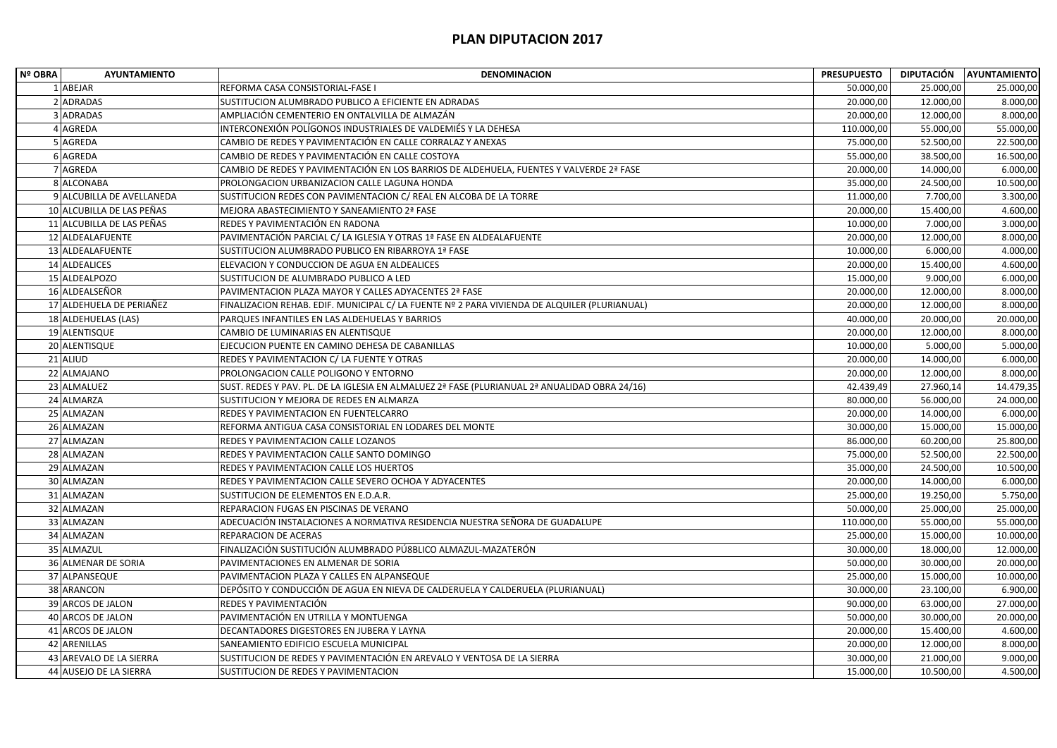| Nº OBRA | <b>AYUNTAMIENTO</b>       | <b>DENOMINACION</b>                                                                           | <b>PRESUPUESTO</b> |           | DIPUTACIÓN AYUNTAMIENTO |
|---------|---------------------------|-----------------------------------------------------------------------------------------------|--------------------|-----------|-------------------------|
|         | 1 ABEJAR                  | REFORMA CASA CONSISTORIAL-FASE I                                                              | 50.000,00          | 25.000,00 | 25.000,00               |
|         | 2 ADRADAS                 | SUSTITUCION ALUMBRADO PUBLICO A EFICIENTE EN ADRADAS                                          | 20.000,00          | 12.000,00 | 8.000,00                |
|         | 3 ADRADAS                 | AMPLIACIÓN CEMENTERIO EN ONTALVILLA DE ALMAZÁN                                                | 20.000,00          | 12.000,00 | 8.000,00                |
|         | 4 AGREDA                  | INTERCONEXIÓN POLÍGONOS INDUSTRIALES DE VALDEMIÉS Y LA DEHESA                                 | 110.000,00         | 55.000,00 | 55.000,00               |
|         | 5 AGREDA                  | CAMBIO DE REDES Y PAVIMENTACIÓN EN CALLE CORRALAZ Y ANEXAS                                    | 75.000,00          | 52.500,00 | 22.500,00               |
|         | 6 AGREDA                  | CAMBIO DE REDES Y PAVIMENTACIÓN EN CALLE COSTOYA                                              | 55.000,00          | 38.500,00 | 16.500,00               |
|         | 7 AGREDA                  | CAMBIO DE REDES Y PAVIMENTACIÓN EN LOS BARRIOS DE ALDEHUELA, FUENTES Y VALVERDE 2ª FASE       | 20.000,00          | 14.000,00 | 6.000,00                |
|         | 8 ALCONABA                | PROLONGACION URBANIZACION CALLE LAGUNA HONDA                                                  | 35.000,00          | 24.500,00 | 10.500,00               |
|         | 9 ALCUBILLA DE AVELLANEDA | SUSTITUCION REDES CON PAVIMENTACION C/ REAL EN ALCOBA DE LA TORRE                             | 11.000,00          | 7.700,00  | 3.300,00                |
|         | 10 ALCUBILLA DE LAS PEÑAS | MEJORA ABASTECIMIENTO Y SANEAMIENTO 2ª FASE                                                   | 20.000,00          | 15.400,00 | 4.600,00                |
|         | 11 ALCUBILLA DE LAS PEÑAS | REDES Y PAVIMENTACIÓN EN RADONA                                                               | 10.000,00          | 7.000,00  | 3.000,00                |
|         | 12 ALDEALAFUENTE          | PAVIMENTACIÓN PARCIAL C/ LA IGLESIA Y OTRAS 1ª FASE EN ALDEALAFUENTE                          | 20.000,00          | 12.000,00 | 8.000,00                |
|         | 13 ALDEALAFUENTE          | SUSTITUCION ALUMBRADO PUBLICO EN RIBARROYA 1ª FASE                                            | 10.000,00          | 6.000,00  | 4.000,00                |
|         | 14 ALDEALICES             | ELEVACION Y CONDUCCION DE AGUA EN ALDEALICES                                                  | 20.000,00          | 15.400,00 | 4.600,00                |
|         | 15 ALDEALPOZO             | SUSTITUCION DE ALUMBRADO PUBLICO A LED                                                        | 15.000,00          | 9.000,00  | 6.000,00                |
|         | 16 ALDEALSEÑOR            | PAVIMENTACION PLAZA MAYOR Y CALLES ADYACENTES 2ª FASE                                         | 20.000,00          | 12.000,00 | 8.000,00                |
|         | 17 ALDEHUELA DE PERIAÑEZ  | FINALIZACION REHAB. EDIF. MUNICIPAL C/ LA FUENTE Nº 2 PARA VIVIENDA DE ALQUILER (PLURIANUAL)  | 20.000,00          | 12.000,00 | 8.000,00                |
|         | 18 ALDEHUELAS (LAS)       | PARQUES INFANTILES EN LAS ALDEHUELAS Y BARRIOS                                                | 40.000,00          | 20.000,00 | 20.000,00               |
|         | 19 ALENTISQUE             | CAMBIO DE LUMINARIAS EN ALENTISQUE                                                            | 20.000,00          | 12.000,00 | 8.000,00                |
|         | 20 ALENTISQUE             | EJECUCION PUENTE EN CAMINO DEHESA DE CABANILLAS                                               | 10.000,00          | 5.000,00  | 5.000,00                |
|         | 21 ALIUD                  | REDES Y PAVIMENTACION C/ LA FUENTE Y OTRAS                                                    | 20.000,00          | 14.000,00 | 6.000,00                |
|         | 22 ALMAJANO               | PROLONGACION CALLE POLIGONO Y ENTORNO                                                         | 20.000,00          | 12.000,00 | 8.000,00                |
|         | 23 ALMALUEZ               | SUST. REDES Y PAV. PL. DE LA IGLESIA EN ALMALUEZ 2ª FASE (PLURIANUAL 2ª ANUALIDAD OBRA 24/16) | 42.439,49          | 27.960,14 | 14.479,35               |
|         | 24 ALMARZA                | SUSTITUCION Y MEJORA DE REDES EN ALMARZA                                                      | 80.000,00          | 56.000,00 | 24.000,00               |
|         | 25 ALMAZAN                | REDES Y PAVIMENTACION EN FUENTELCARRO                                                         | 20.000,00          | 14.000,00 | 6.000,00                |
|         | 26 ALMAZAN                | REFORMA ANTIGUA CASA CONSISTORIAL EN LODARES DEL MONTE                                        | 30.000,00          | 15.000,00 | 15.000,00               |
|         | 27 ALMAZAN                | REDES Y PAVIMENTACION CALLE LOZANOS                                                           | 86.000,00          | 60.200,00 | 25.800,00               |
|         | 28 ALMAZAN                | REDES Y PAVIMENTACION CALLE SANTO DOMINGO                                                     | 75.000,00          | 52.500,00 | 22.500,00               |
|         | 29 ALMAZAN                | REDES Y PAVIMENTACION CALLE LOS HUERTOS                                                       | 35.000,00          | 24.500,00 | 10.500,00               |
|         | 30 ALMAZAN                | REDES Y PAVIMENTACION CALLE SEVERO OCHOA Y ADYACENTES                                         | 20.000,00          | 14.000,00 | 6.000,00                |
|         | 31 ALMAZAN                | SUSTITUCION DE ELEMENTOS EN E.D.A.R.                                                          | 25.000,00          | 19.250,00 | 5.750,00                |
|         | 32 ALMAZAN                | REPARACION FUGAS EN PISCINAS DE VERANO                                                        | 50.000,00          | 25.000,00 | 25.000,00               |
|         | 33 ALMAZAN                | ADECUACIÓN INSTALACIONES A NORMATIVA RESIDENCIA NUESTRA SEÑORA DE GUADALUPE                   | 110.000,00         | 55.000,00 | 55.000,00               |
|         | 34 ALMAZAN                | REPARACION DE ACERAS                                                                          | 25.000,00          | 15.000,00 | 10.000,00               |
|         | 35 ALMAZUL                | FINALIZACIÓN SUSTITUCIÓN ALUMBRADO PÚ8BLICO ALMAZUL-MAZATERÓN                                 | 30.000,00          | 18.000,00 | 12.000,00               |
|         | 36 ALMENAR DE SORIA       | PAVIMENTACIONES EN ALMENAR DE SORIA                                                           | 50.000,00          | 30.000,00 | 20.000,00               |
|         | 37 ALPANSEQUE             | PAVIMENTACION PLAZA Y CALLES EN ALPANSEQUE                                                    | 25.000,00          | 15.000,00 | 10.000,00               |
|         | 38 ARANCON                | DEPÓSITO Y CONDUCCIÓN DE AGUA EN NIEVA DE CALDERUELA Y CALDERUELA (PLURIANUAL)                | 30.000,00          | 23.100,00 | 6.900,00                |
|         | 39 ARCOS DE JALON         | REDES Y PAVIMENTACIÓN                                                                         | 90.000,00          | 63.000,00 | 27.000,00               |
|         | 40 ARCOS DE JALON         | PAVIMENTACIÓN EN UTRILLA Y MONTUENGA                                                          | 50.000,00          | 30.000,00 | 20.000,00               |
|         | 41 ARCOS DE JALON         | DECANTADORES DIGESTORES EN JUBERA Y LAYNA                                                     | 20.000,00          | 15.400,00 | 4.600,00                |
|         | 42 ARENILLAS              | SANEAMIENTO EDIFICIO ESCUELA MUNICIPAL                                                        | 20.000,00          | 12.000,00 | 8.000,00                |
|         | 43 AREVALO DE LA SIERRA   | SUSTITUCION DE REDES Y PAVIMENTACIÓN EN AREVALO Y VENTOSA DE LA SIERRA                        | 30.000,00          | 21.000,00 | 9.000,00                |
|         | 44 AUSEJO DE LA SIERRA    | SUSTITUCION DE REDES Y PAVIMENTACION                                                          | 15.000,00          | 10.500,00 | 4.500,00                |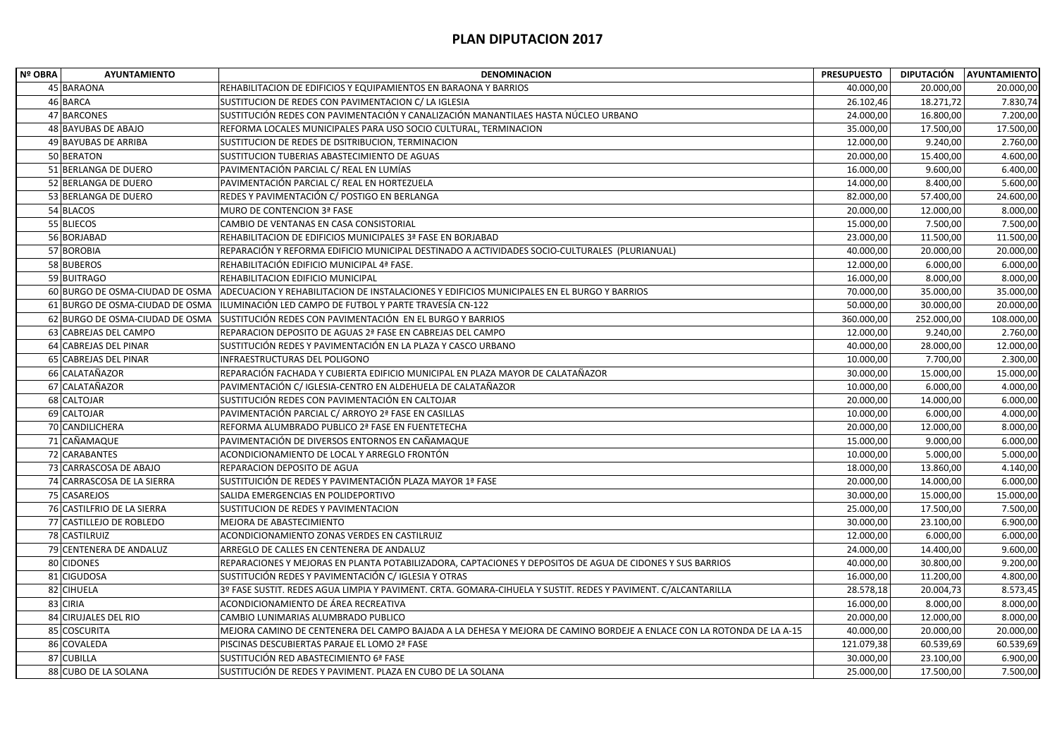| Nº OBRA | <b>AYUNTAMIENTO</b>             | <b>DENOMINACION</b>                                                                                                   | <b>PRESUPUESTO</b> | DIPUTACIÓN | <b>AYUNTAMIENTO</b> |
|---------|---------------------------------|-----------------------------------------------------------------------------------------------------------------------|--------------------|------------|---------------------|
|         | 45 BARAONA                      | REHABILITACION DE EDIFICIOS Y EQUIPAMIENTOS EN BARAONA Y BARRIOS                                                      | 40.000,00          | 20.000,00  | 20.000,00           |
|         | 46 BARCA                        | SUSTITUCION DE REDES CON PAVIMENTACION C/ LA IGLESIA                                                                  | 26.102,46          | 18.271,72  | 7.830,74            |
|         | 47 BARCONES                     | SUSTITUCIÓN REDES CON PAVIMENTACIÓN Y CANALIZACIÓN MANANTILAES HASTA NÚCLEO URBANO                                    | 24.000,00          | 16.800,00  | 7.200,00            |
|         | 48 BAYUBAS DE ABAJO             | REFORMA LOCALES MUNICIPALES PARA USO SOCIO CULTURAL, TERMINACION                                                      | 35.000,00          | 17.500,00  | 17.500,00           |
|         | 49 BAYUBAS DE ARRIBA            | SUSTITUCION DE REDES DE DSITRIBUCION, TERMINACION                                                                     | 12.000,00          | 9.240,00   | 2.760,00            |
|         | 50 BERATON                      | SUSTITUCION TUBERIAS ABASTECIMIENTO DE AGUAS                                                                          | 20.000,00          | 15.400,00  | 4.600,00            |
|         | 51 BERLANGA DE DUERO            | PAVIMENTACIÓN PARCIAL C/ REAL EN LUMÍAS                                                                               | 16.000,00          | 9.600,00   | 6.400,00            |
|         | 52 BERLANGA DE DUERO            | PAVIMENTACIÓN PARCIAL C/ REAL EN HORTEZUELA                                                                           | 14.000,00          | 8.400,00   | 5.600,00            |
|         | 53 BERLANGA DE DUERO            | REDES Y PAVIMENTACIÓN C/ POSTIGO EN BERLANGA                                                                          | 82.000,00          | 57.400,00  | 24.600,00           |
|         | 54 BLACOS                       | <b>MURO DE CONTENCION 3ª FASE</b>                                                                                     | 20.000,00          | 12.000,00  | 8.000,00            |
|         | 55 BLIECOS                      | CAMBIO DE VENTANAS EN CASA CONSISTORIAL                                                                               | 15.000,00          | 7.500,00   | 7.500,00            |
|         | 56 BORJABAD                     | REHABILITACION DE EDIFICIOS MUNICIPALES 3ª FASE EN BORJABAD                                                           | 23.000,00          | 11.500,00  | 11.500,00           |
|         | 57 BOROBIA                      | REPARACIÓN Y REFORMA EDIFICIO MUNICIPAL DESTINADO A ACTIVIDADES SOCIO-CULTURALES (PLURIANUAL)                         | 40.000,00          | 20.000,00  | 20.000,00           |
|         | 58 BUBEROS                      | REHABILITACIÓN EDIFICIO MUNICIPAL 4ª FASE.                                                                            | 12.000,00          | 6.000,00   | 6.000,00            |
|         | 59 BUITRAGO                     | REHABILITACION EDIFICIO MUNICIPAL                                                                                     | 16.000,00          | 8.000,00   | 8.000,00            |
|         | 60 BURGO DE OSMA-CIUDAD DE OSMA | ADECUACION Y REHABILITACION DE INSTALACIONES Y EDIFICIOS MUNICIPALES EN EL BURGO Y BARRIOS                            | 70.000,00          | 35.000,00  | 35.000,00           |
|         | 61 BURGO DE OSMA-CIUDAD DE OSMA | ILUMINACIÓN LED CAMPO DE FUTBOL Y PARTE TRAVESÍA CN-122                                                               | 50.000,00          | 30.000,00  | 20.000,00           |
|         | 62 BURGO DE OSMA-CIUDAD DE OSMA | SUSTITUCIÓN REDES CON PAVIMENTACIÓN EN EL BURGO Y BARRIOS                                                             | 360.000,00         | 252.000,00 | 108.000,00          |
|         | 63 CABREJAS DEL CAMPO           | REPARACION DEPOSITO DE AGUAS 2ª FASE EN CABREJAS DEL CAMPO                                                            | 12.000,00          | 9.240,00   | 2.760,00            |
|         | 64 CABREJAS DEL PINAR           | SUSTITUCIÓN REDES Y PAVIMENTACIÓN EN LA PLAZA Y CASCO URBANO                                                          | 40.000,00          | 28.000,00  | 12.000,00           |
|         | 65 CABREJAS DEL PINAR           | INFRAESTRUCTURAS DEL POLIGONO                                                                                         | 10.000,00          | 7.700,00   | 2.300,00            |
|         | 66 CALATAÑAZOR                  | REPARACIÓN FACHADA Y CUBIERTA EDIFICIO MUNICIPAL EN PLAZA MAYOR DE CALATAÑAZOR                                        | 30.000,00          | 15.000,00  | 15.000,00           |
|         | 67 CALATAÑAZOR                  | PAVIMENTACIÓN C/ IGLESIA-CENTRO EN ALDEHUELA DE CALATAÑAZOR                                                           | 10.000,00          | 6.000,00   | 4.000,00            |
|         | 68 CALTOJAR                     | SUSTITUCIÓN REDES CON PAVIMENTACIÓN EN CALTOJAR                                                                       | 20.000,00          | 14.000,00  | 6.000,00            |
|         | 69 CALTOJAR                     | PAVIMENTACIÓN PARCIAL C/ ARROYO 2ª FASE EN CASILLAS                                                                   | 10.000,00          | 6.000,00   | 4.000,00            |
|         | 70 CANDILICHERA                 | REFORMA ALUMBRADO PUBLICO 2ª FASE EN FUENTETECHA                                                                      | 20.000,00          | 12.000,00  | 8.000,00            |
|         | 71 CAÑAMAQUE                    | PAVIMENTACIÓN DE DIVERSOS ENTORNOS EN CAÑAMAQUE                                                                       | 15.000,00          | 9.000,00   | 6.000,00            |
|         | 72 CARABANTES                   | ACONDICIONAMIENTO DE LOCAL Y ARREGLO FRONTÓN                                                                          | 10.000,00          | 5.000,00   | 5.000,00            |
|         | 73 CARRASCOSA DE ABAJO          | REPARACION DEPOSITO DE AGUA                                                                                           | 18.000,00          | 13.860,00  | 4.140,00            |
|         | 74 CARRASCOSA DE LA SIERRA      | SUSTITUICIÓN DE REDES Y PAVIMENTACIÓN PLAZA MAYOR 1ª FASE                                                             | 20.000,00          | 14.000,00  | 6.000,00            |
|         | 75 CASAREJOS                    | SALIDA EMERGENCIAS EN POLIDEPORTIVO                                                                                   | 30.000,00          | 15.000,00  | 15.000,00           |
|         | 76 CASTILFRIO DE LA SIERRA      | SUSTITUCION DE REDES Y PAVIMENTACION                                                                                  | 25.000,00          | 17.500,00  | 7.500,00            |
|         | 77 CASTILLEJO DE ROBLEDO        | MEJORA DE ABASTECIMIENTO                                                                                              | 30.000,00          | 23.100,00  | 6.900,00            |
|         | 78 CASTILRUIZ                   | ACONDICIONAMIENTO ZONAS VERDES EN CASTILRUIZ                                                                          | 12.000,00          | 6.000,00   | 6.000,00            |
|         | 79 CENTENERA DE ANDALUZ         | ARREGLO DE CALLES EN CENTENERA DE ANDALUZ                                                                             | 24.000,00          | 14.400,00  | 9.600,00            |
|         | 80 CIDONES                      | REPARACIONES Y MEJORAS EN PLANTA POTABILIZADORA, CAPTACIONES Y DEPOSITOS DE AGUA DE CIDONES Y SUS BARRIOS             | 40.000,00          | 30.800,00  | 9.200,00            |
|         | 81 CIGUDOSA                     | SUSTITUCIÓN REDES Y PAVIMENTACIÓN C/ IGLESIA Y OTRAS                                                                  | 16.000,00          | 11.200,00  | 4.800,00            |
|         | 82 CIHUELA                      | 3º FASE SUSTIT. REDES AGUA LIMPIA Y PAVIMENT. CRTA. GOMARA-CIHUELA Y SUSTIT. REDES Y PAVIMENT. C/ALCANTARILLA         | 28.578,18          | 20.004,73  | 8.573,45            |
|         | 83 CIRIA                        | ACONDICIONAMIENTO DE ÁREA RECREATIVA                                                                                  | 16.000,00          | 8.000,00   | 8.000,00            |
|         | 84 CIRUJALES DEL RIO            | CAMBIO LUNIMARIAS ALUMBRADO PUBLICO                                                                                   | 20.000,00          | 12.000,00  | 8.000,00            |
|         | 85 COSCURITA                    | MEJORA CAMINO DE CENTENERA DEL CAMPO BAJADA A LA DEHESA Y MEJORA DE CAMINO BORDEJE A ENLACE CON LA ROTONDA DE LA A-15 | 40.000,00          | 20.000,00  | 20.000,00           |
|         | 86 COVALEDA                     | PISCINAS DESCUBIERTAS PARAJE EL LOMO 2ª FASE                                                                          | 121.079,38         | 60.539,69  | 60.539,69           |
|         | 87 CUBILLA                      | SUSTITUCIÓN RED ABASTECIMIENTO 6ª FASE                                                                                | 30.000,00          | 23.100,00  | 6.900,00            |
|         | 88 CUBO DE LA SOLANA            | SUSTITUCIÓN DE REDES Y PAVIMENT. PLAZA EN CUBO DE LA SOLANA                                                           | 25.000,00          | 17.500,00  | 7.500,00            |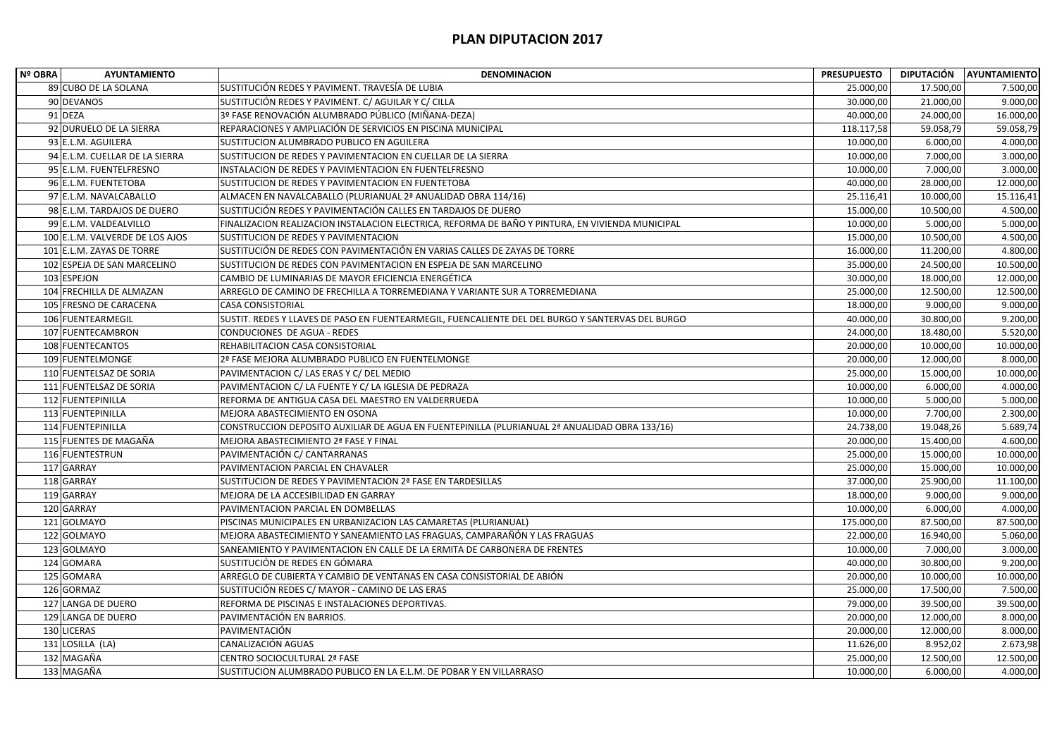| Nº OBRA     | <b>AYUNTAMIENTO</b>             | <b>DENOMINACION</b>                                                                               | <b>PRESUPUESTO</b> |           | DIPUTACIÓN AYUNTAMIENTO |
|-------------|---------------------------------|---------------------------------------------------------------------------------------------------|--------------------|-----------|-------------------------|
|             | 89 CUBO DE LA SOLANA            | SUSTITUCIÓN REDES Y PAVIMENT. TRAVESÍA DE LUBIA                                                   | 25.000,00          | 17.500,00 | 7.500,00                |
|             | 90 DEVANOS                      | SUSTITUCIÓN REDES Y PAVIMENT. C/ AGUILAR Y C/ CILLA                                               | 30.000,00          | 21.000,00 | 9.000,00                |
| 91 DEZA     |                                 | 3º FASE RENOVACIÓN ALUMBRADO PÚBLICO (MIÑANA-DEZA)                                                | 40.000,00          | 24.000,00 | 16.000,00               |
|             | 92 DURUELO DE LA SIERRA         | REPARACIONES Y AMPLIACIÓN DE SERVICIOS EN PISCINA MUNICIPAL                                       | 118.117,58         | 59.058,79 | 59.058,79               |
|             | 93 E.L.M. AGUILERA              | SUSTITUCION ALUMBRADO PUBLICO EN AGUILERA                                                         | 10.000,00          | 6.000,00  | 4.000,00                |
|             | 94 E.L.M. CUELLAR DE LA SIERRA  | SUSTITUCION DE REDES Y PAVIMENTACION EN CUELLAR DE LA SIERRA                                      | 10.000,00          | 7.000,00  | 3.000,00                |
|             | 95 E.L.M. FUENTELFRESNO         | INSTALACION DE REDES Y PAVIMENTACION EN FUENTELFRESNO                                             | 10.000,00          | 7.000,00  | 3.000,00                |
|             | 96 E.L.M. FUENTETOBA            | SUSTITUCION DE REDES Y PAVIMENTACION EN FUENTETOBA                                                | 40.000,00          | 28.000,00 | 12.000,00               |
|             | 97 E.L.M. NAVALCABALLO          | ALMACEN EN NAVALCABALLO (PLURIANUAL 2ª ANUALIDAD OBRA 114/16)                                     | 25.116,41          | 10.000,00 | 15.116,41               |
|             | 98 E.L.M. TARDAJOS DE DUERO     | SUSTITUCIÓN REDES Y PAVIMENTACIÓN CALLES EN TARDAJOS DE DUERO                                     | 15.000,00          | 10.500,00 | 4.500,00                |
|             | 99 E.L.M. VALDEALVILLO          | FINALIZACION REALIZACION INSTALACION ELECTRICA, REFORMA DE BAÑO Y PINTURA, EN VIVIENDA MUNICIPAL  | 10.000,00          | 5.000,00  | 5.000,00                |
|             | 100 E.L.M. VALVERDE DE LOS AJOS | SUSTITUCION DE REDES Y PAVIMENTACION                                                              | 15.000,00          | 10.500,00 | 4.500,00                |
|             | 101 E.L.M. ZAYAS DE TORRE       | SUSTITUCIÓN DE REDES CON PAVIMENTACIÓN EN VARIAS CALLES DE ZAYAS DE TORRE                         | 16.000,00          | 11.200,00 | 4.800,00                |
|             | 102 ESPEJA DE SAN MARCELINO     | SUSTITUCION DE REDES CON PAVIMENTACION EN ESPEJA DE SAN MARCELINO                                 | 35.000,00          | 24.500,00 | 10.500,00               |
| 103 ESPEJON |                                 | CAMBIO DE LUMINARIAS DE MAYOR EFICIENCIA ENERGÉTICA                                               | 30.000,00          | 18.000,00 | 12.000,00               |
|             | 104 FRECHILLA DE ALMAZAN        | ARREGLO DE CAMINO DE FRECHILLA A TORREMEDIANA Y VARIANTE SUR A TORREMEDIANA                       | 25.000,00          | 12.500,00 | 12.500,00               |
|             | 105 FRESNO DE CARACENA          | <b>CASA CONSISTORIAL</b>                                                                          | 18.000,00          | 9.000,00  | 9.000,00                |
|             | 106 FUENTEARMEGIL               | SUSTIT. REDES Y LLAVES DE PASO EN FUENTEARMEGIL, FUENCALIENTE DEL DEL BURGO Y SANTERVAS DEL BURGO | 40.000,00          | 30.800,00 | 9.200,00                |
|             | 107 FUENTECAMBRON               | CONDUCIONES DE AGUA - REDES                                                                       | 24.000,00          | 18.480,00 | 5.520,00                |
|             | 108 FUENTECANTOS                | REHABILITACION CASA CONSISTORIAL                                                                  | 20.000,00          | 10.000,00 | 10.000,00               |
|             | 109 FUENTELMONGE                | 2ª FASE MEJORA ALUMBRADO PUBLICO EN FUENTELMONGE                                                  | 20.000,00          | 12.000,00 | 8.000,00                |
|             | 110 FUENTELSAZ DE SORIA         | PAVIMENTACION C/ LAS ERAS Y C/ DEL MEDIO                                                          | 25.000,00          | 15.000,00 | 10.000,00               |
|             | 111 FUENTELSAZ DE SORIA         | PAVIMENTACION C/ LA FUENTE Y C/ LA IGLESIA DE PEDRAZA                                             | 10.000,00          | 6.000,00  | 4.000,00                |
|             | 112 FUENTEPINILLA               | REFORMA DE ANTIGUA CASA DEL MAESTRO EN VALDERRUEDA                                                | 10.000,00          | 5.000,00  | 5.000,00                |
|             | 113 FUENTEPINILLA               | MEJORA ABASTECIMIENTO EN OSONA                                                                    | 10.000,00          | 7.700,00  | 2.300,00                |
|             | 114 FUENTEPINILLA               | CONSTRUCCION DEPOSITO AUXILIAR DE AGUA EN FUENTEPINILLA (PLURIANUAL 2ª ANUALIDAD OBRA 133/16)     | 24.738,00          | 19.048,26 | 5.689,74                |
|             | 115 FUENTES DE MAGAÑA           | MEJORA ABASTECIMIENTO 2ª FASE Y FINAL                                                             | 20.000,00          | 15.400,00 | 4.600,00                |
|             | 116 FUENTESTRUN                 | PAVIMENTACIÓN C/ CANTARRANAS                                                                      | 25.000,00          | 15.000,00 | 10.000,00               |
| 117 GARRAY  |                                 | PAVIMENTACION PARCIAL EN CHAVALER                                                                 | 25.000,00          | 15.000,00 | 10.000,00               |
| 118 GARRAY  |                                 | SUSTITUCION DE REDES Y PAVIMENTACION 2ª FASE EN TARDESILLAS                                       | 37.000,00          | 25.900,00 | 11.100,00               |
| 119 GARRAY  |                                 | MEJORA DE LA ACCESIBILIDAD EN GARRAY                                                              | 18.000,00          | 9.000,00  | 9.000,00                |
| 120 GARRAY  |                                 | PAVIMENTACION PARCIAL EN DOMBELLAS                                                                | 10.000,00          | 6.000,00  | 4.000,00                |
|             | 121 GOLMAYO                     | PISCINAS MUNICIPALES EN URBANIZACION LAS CAMARETAS (PLURIANUAL)                                   | 175.000,00         | 87.500,00 | 87.500,00               |
|             | 122 GOLMAYO                     | MEJORA ABASTECIMIENTO Y SANEAMIENTO LAS FRAGUAS, CAMPARAÑÓN Y LAS FRAGUAS                         | 22.000,00          | 16.940,00 | 5.060,00                |
|             | 123 GOLMAYO                     | SANEAMIENTO Y PAVIMENTACION EN CALLE DE LA ERMITA DE CARBONERA DE FRENTES                         | 10.000,00          | 7.000,00  | 3.000,00                |
| 124 GOMARA  |                                 | SUSTITUCIÓN DE REDES EN GÓMARA                                                                    | 40.000,00          | 30.800,00 | 9.200,00                |
| 125 GOMARA  |                                 | ARREGLO DE CUBIERTA Y CAMBIO DE VENTANAS EN CASA CONSISTORIAL DE ABIÓN                            | 20.000,00          | 10.000,00 | 10.000,00               |
| 126 GORMAZ  |                                 | SUSTITUCIÓN REDES C/ MAYOR - CAMINO DE LAS ERAS                                                   | 25.000,00          | 17.500,00 | 7.500,00                |
|             | 127 LANGA DE DUERO              | REFORMA DE PISCINAS E INSTALACIONES DEPORTIVAS.                                                   | 79.000,00          | 39.500,00 | 39.500,00               |
|             | 129 LANGA DE DUERO              | PAVIMENTACIÓN EN BARRIOS.                                                                         | 20.000,00          | 12.000,00 | 8.000,00                |
| 130 LICERAS |                                 | PAVIMENTACIÓN                                                                                     | 20.000,00          | 12.000,00 | 8.000,00                |
|             | 131 LOSILLA (LA)                | CANALIZACIÓN AGUAS                                                                                | 11.626,00          | 8.952,02  | 2.673,98                |
| 132 MAGAÑA  |                                 | CENTRO SOCIOCULTURAL 2ª FASE                                                                      | 25.000,00          | 12.500,00 | 12.500,00               |
| 133 MAGAÑA  |                                 | SUSTITUCION ALUMBRADO PUBLICO EN LA E.L.M. DE POBAR Y EN VILLARRASO                               | 10.000,00          | 6.000,00  | 4.000,00                |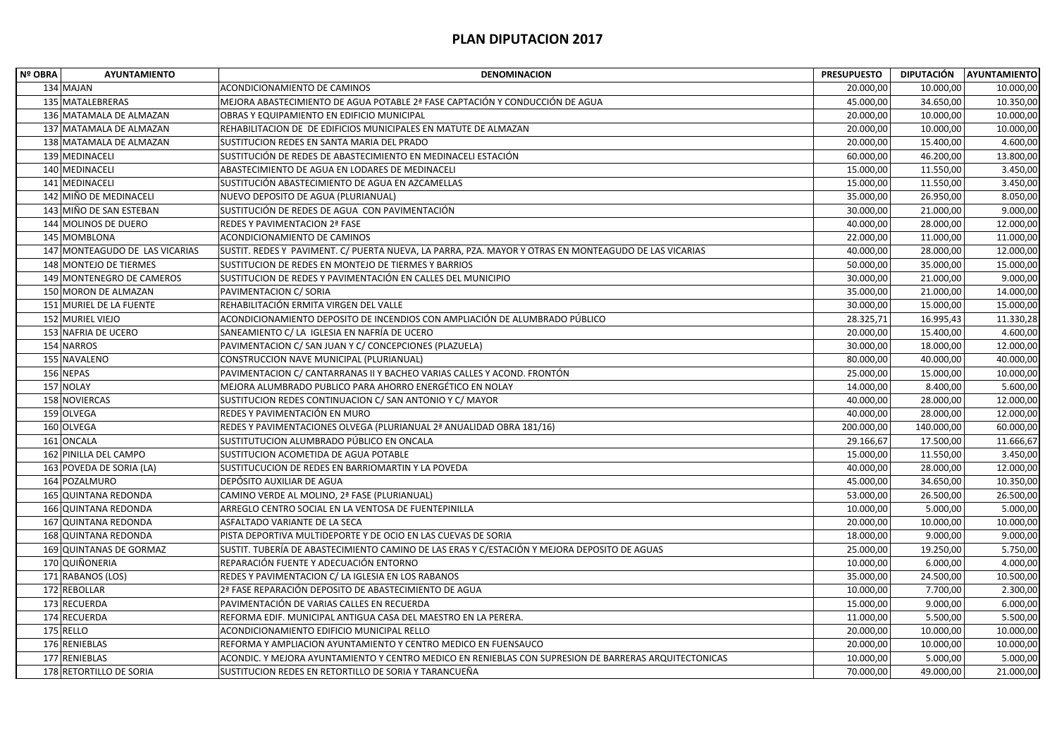| <b>Nº OBRA</b> | <b>AYUNTAMIENTO</b>            | <b>DENOMINACION</b>                                                                                   | <b>PRESUPUESTO</b> |            | DIPUTACIÓN AYUNTAMIENTO |
|----------------|--------------------------------|-------------------------------------------------------------------------------------------------------|--------------------|------------|-------------------------|
|                | 134 MAJAN                      | ACONDICIONAMIENTO DE CAMINOS                                                                          | 20.000,00          | 10.000,00  | 10.000,00               |
|                | 135 MATALEBRERAS               | MEJORA ABASTECIMIENTO DE AGUA POTABLE 2ª FASE CAPTACIÓN Y CONDUCCIÓN DE AGUA                          | 45.000,00          | 34.650,00  | 10.350,00               |
|                | 136 MATAMALA DE ALMAZAN        | OBRAS Y EQUIPAMIENTO EN EDIFICIO MUNICIPAL                                                            | 20.000,00          | 10.000,00  | 10.000,00               |
|                | 137 MATAMALA DE ALMAZAN        | REHABILITACION DE DE EDIFICIOS MUNICIPALES EN MATUTE DE ALMAZAN                                       | 20.000,00          | 10.000,00  | 10.000,00               |
|                | 138 MATAMALA DE ALMAZAN        | SUSTITUCION REDES EN SANTA MARIA DEL PRADO                                                            | 20.000,00          | 15.400,00  | 4.600,00                |
|                | 139 MEDINACELI                 | SUSTITUCIÓN DE REDES DE ABASTECIMIENTO EN MEDINACELI ESTACIÓN                                         | 60.000,00          | 46.200,00  | 13.800,00               |
|                | 140 MEDINACELI                 | ABASTECIMIENTO DE AGUA EN LODARES DE MEDINACELI                                                       | 15.000,00          | 11.550,00  | 3.450,00                |
|                | 141 MEDINACELI                 | SUSTITUCIÓN ABASTECIMIENTO DE AGUA EN AZCAMELLAS                                                      | 15.000,00          | 11.550,00  | 3.450,00                |
|                | 142 MIÑO DE MEDINACELI         | NUEVO DEPOSITO DE AGUA (PLURIANUAL)                                                                   | 35.000,00          | 26.950,00  | 8.050,00                |
|                | 143 MIÑO DE SAN ESTEBAN        | SUSTITUCIÓN DE REDES DE AGUA CON PAVIMENTACIÓN                                                        | 30.000,00          | 21.000,00  | 9.000,00                |
|                | 144 MOLINOS DE DUERO           | REDES Y PAVIMENTACION 2ª FASE                                                                         | 40.000,00          | 28.000,00  | 12.000,00               |
|                | 145 MOMBLONA                   | ACONDICIONAMIENTO DE CAMINOS                                                                          | 22.000,00          | 11.000,00  | 11.000,00               |
|                | 147 MONTEAGUDO DE LAS VICARIAS | SUSTIT. REDES Y PAVIMENT. C/ PUERTA NUEVA, LA PARRA, PZA. MAYOR Y OTRAS EN MONTEAGUDO DE LAS VICARIAS | 40.000,00          | 28.000,00  | 12.000,00               |
|                | 148 MONTEJO DE TIERMES         | SUSTITUCION DE REDES EN MONTEJO DE TIERMES Y BARRIOS                                                  | 50.000,00          | 35.000,00  | 15.000,00               |
|                | 149 MONTENEGRO DE CAMEROS      | SUSTITUCION DE REDES Y PAVIMENTACIÓN EN CALLES DEL MUNICIPIO                                          | 30.000,00          | 21.000,00  | 9.000,00                |
|                | 150 MORON DE ALMAZAN           | PAVIMENTACION C/ SORIA                                                                                | 35.000,00          | 21.000,00  | 14.000,00               |
|                | 151 MURIEL DE LA FUENTE        | REHABILITACIÓN ERMITA VIRGEN DEL VALLE                                                                | 30.000,00          | 15.000,00  | 15.000,00               |
|                | 152 MURIEL VIEJO               | ACONDICIONAMIENTO DEPOSITO DE INCENDIOS CON AMPLIACIÓN DE ALUMBRADO PÚBLICO                           | 28.325,71          | 16.995,43  | 11.330,28               |
|                | 153 NAFRIA DE UCERO            | SANEAMIENTO C/ LA IGLESIA EN NAFRÍA DE UCERO                                                          | 20.000,00          | 15.400,00  | 4.600,00                |
|                | 154 NARROS                     | PAVIMENTACION C/ SAN JUAN Y C/ CONCEPCIONES (PLAZUELA)                                                | 30.000,00          | 18.000,00  | 12.000,00               |
|                | 155 NAVALENO                   | CONSTRUCCION NAVE MUNICIPAL (PLURIANUAL)                                                              | 80.000,00          | 40.000,00  | 40.000,00               |
|                | 156 NEPAS                      | PAVIMENTACION C/ CANTARRANAS II Y BACHEO VARIAS CALLES Y ACOND. FRONTÓN                               | 25.000,00          | 15.000,00  | 10.000,00               |
|                | 157 NOLAY                      | MEJORA ALUMBRADO PUBLICO PARA AHORRO ENERGÉTICO EN NOLAY                                              | 14.000,00          | 8.400,00   | 5.600,00                |
|                | 158 NOVIERCAS                  | SUSTITUCION REDES CONTINUACION C/ SAN ANTONIO Y C/ MAYOR                                              | 40.000,00          | 28.000,00  | 12.000,00               |
|                | 159 OLVEGA                     | REDES Y PAVIMENTACIÓN EN MURO                                                                         | 40.000,00          | 28.000,00  | 12.000,00               |
|                | 160 OLVEGA                     | REDES Y PAVIMENTACIONES OLVEGA (PLURIANUAL 2ª ANUALIDAD OBRA 181/16)                                  | 200.000,00         | 140.000,00 | 60.000,00               |
|                | 161 ONCALA                     | SUSTITUTUCION ALUMBRADO PÚBLICO EN ONCALA                                                             | 29.166,67          | 17.500,00  | 11.666,67               |
|                | 162 PINILLA DEL CAMPO          | SUSTITUCION ACOMETIDA DE AGUA POTABLE                                                                 | 15.000,00          | 11.550,00  | 3.450,00                |
|                | 163 POVEDA DE SORIA (LA)       | SUSTITUCUCION DE REDES EN BARRIOMARTIN Y LA POVEDA                                                    | 40.000,00          | 28.000,00  | 12.000,00               |
|                | 164 POZALMURO                  | DEPÓSITO AUXILIAR DE AGUA                                                                             | 45.000,00          | 34.650,00  | 10.350,00               |
|                | 165 QUINTANA REDONDA           | CAMINO VERDE AL MOLINO, 2ª FASE (PLURIANUAL)                                                          | 53.000,00          | 26.500,00  | 26.500,00               |
|                | 166 QUINTANA REDONDA           | ARREGLO CENTRO SOCIAL EN LA VENTOSA DE FUENTEPINILLA                                                  | 10.000,00          | 5.000,00   | 5.000,00                |
|                | 167 QUINTANA REDONDA           | ASFALTADO VARIANTE DE LA SECA                                                                         | 20.000,00          | 10.000,00  | 10.000,00               |
|                | 168 QUINTANA REDONDA           | PISTA DEPORTIVA MULTIDEPORTE Y DE OCIO EN LAS CUEVAS DE SORIA                                         | 18.000,00          | 9.000,00   | 9.000,00                |
|                | 169 QUINTANAS DE GORMAZ        | SUSTIT. TUBERÍA DE ABASTECIMIENTO CAMINO DE LAS ERAS Y C/ESTACIÓN Y MEJORA DEPOSITO DE AGUAS          | 25.000,00          | 19.250,00  | 5.750,00                |
|                | 170 QUIÑONERIA                 | REPARACIÓN FUENTE Y ADECUACIÓN ENTORNO                                                                | 10.000,00          | 6.000,00   | 4.000,00                |
|                | 171 RABANOS (LOS)              | REDES Y PAVIMENTACION C/ LA IGLESIA EN LOS RABANOS                                                    | 35.000,00          | 24.500,00  | 10.500,00               |
|                | 172 REBOLLAR                   | 2ª FASE REPARACIÓN DEPOSITO DE ABASTECIMIENTO DE AGUA                                                 | 10.000,00          | 7.700,00   | 2.300,00                |
|                | 173 RECUERDA                   | PAVIMENTACIÓN DE VARIAS CALLES EN RECUERDA                                                            | 15.000,00          | 9.000,00   | 6.000,00                |
|                | 174 RECUERDA                   | REFORMA EDIF. MUNICIPAL ANTIGUA CASA DEL MAESTRO EN LA PERERA.                                        | 11.000,00          | 5.500,00   | 5.500,00                |
|                | 175 RELLO                      | ACONDICIONAMIENTO EDIFICIO MUNICIPAL RELLO                                                            | 20.000,00          | 10.000,00  | 10.000,00               |
|                | 176 RENIEBLAS                  | REFORMA Y AMPLIACION AYUNTAMIENTO Y CENTRO MEDICO EN FUENSAUCO                                        | 20.000,00          | 10.000,00  | 10.000,00               |
|                | 177 RENIEBLAS                  | ACONDIC. Y MEJORA AYUNTAMIENTO Y CENTRO MEDICO EN RENIEBLAS CON SUPRESION DE BARRERAS ARQUITECTONICAS | 10.000,00          | 5.000,00   | 5.000,00                |
|                | 178 RETORTILLO DE SORIA        | SUSTITUCION REDES EN RETORTILLO DE SORIA Y TARANCUEÑA                                                 | 70.000,00          | 49.000,00  | 21.000,00               |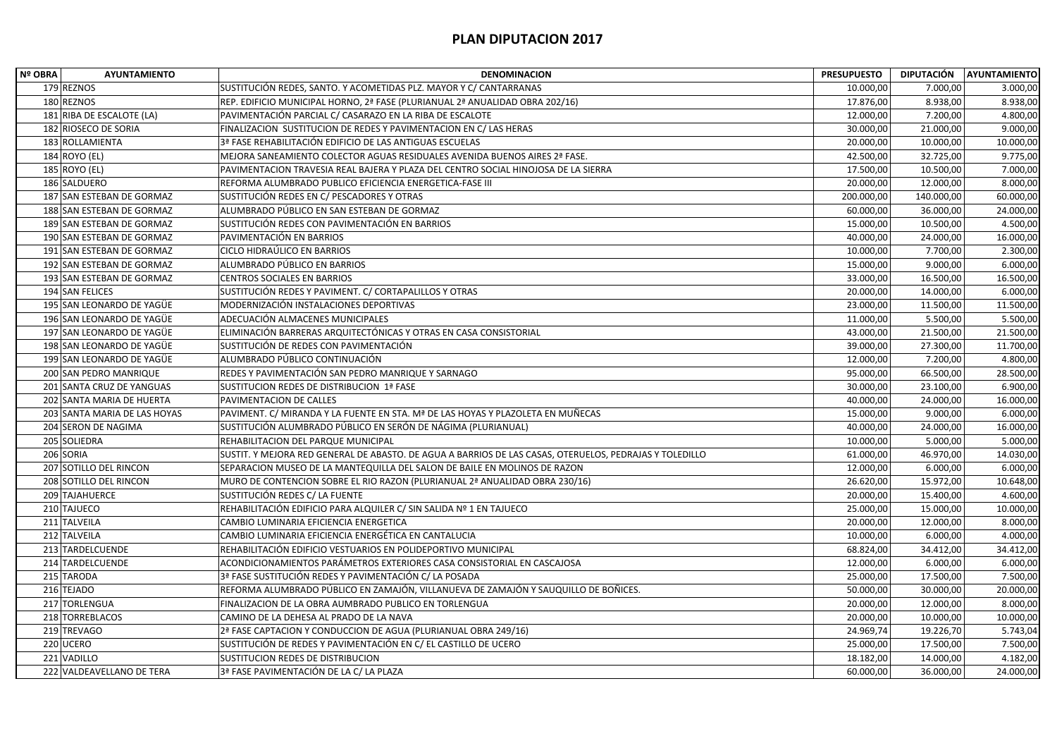| Nº OBRA         | <b>AYUNTAMIENTO</b>          | <b>DENOMINACION</b>                                                                                     | <b>PRESUPUESTO</b> |            | DIPUTACIÓN AYUNTAMIENTO |
|-----------------|------------------------------|---------------------------------------------------------------------------------------------------------|--------------------|------------|-------------------------|
| 179 REZNOS      |                              | SUSTITUCIÓN REDES, SANTO. Y ACOMETIDAS PLZ. MAYOR Y C/ CANTARRANAS                                      | 10.000,00          | 7.000,00   | 3.000,00                |
| 180 REZNOS      |                              | REP. EDIFICIO MUNICIPAL HORNO, 2ª FASE (PLURIANUAL 2ª ANUALIDAD OBRA 202/16)                            | 17.876,00          | 8.938,00   | 8.938,00                |
|                 | 181 RIBA DE ESCALOTE (LA)    | PAVIMENTACIÓN PARCIAL C/ CASARAZO EN LA RIBA DE ESCALOTE                                                | 12.000,00          | 7.200,00   | 4.800,00                |
|                 | 182 RIOSECO DE SORIA         | FINALIZACION SUSTITUCION DE REDES Y PAVIMENTACION EN C/ LAS HERAS                                       | 30.000,00          | 21.000,00  | 9.000,00                |
|                 | 183 ROLLAMIENTA              | 3ª FASE REHABILITACIÓN EDIFICIO DE LAS ANTIGUAS ESCUELAS                                                | 20.000,00          | 10.000,00  | 10.000,00               |
| 184 ROYO (EL)   |                              | MEJORA SANEAMIENTO COLECTOR AGUAS RESIDUALES AVENIDA BUENOS AIRES 2ª FASE.                              | 42.500,00          | 32.725,00  | 9.775,00                |
| 185 ROYO (EL)   |                              | PAVIMENTACION TRAVESIA REAL BAJERA Y PLAZA DEL CENTRO SOCIAL HINOJOSA DE LA SIERRA                      | 17.500,00          | 10.500,00  | 7.000,00                |
| 186 SALDUERO    |                              | REFORMA ALUMBRADO PUBLICO EFICIENCIA ENERGETICA-FASE III                                                | 20.000,00          | 12.000,00  | 8.000,00                |
|                 | 187 SAN ESTEBAN DE GORMAZ    | SUSTITUCIÓN REDES EN C/ PESCADORES Y OTRAS                                                              | 200.000,00         | 140.000,00 | 60.000,00               |
|                 | 188 SAN ESTEBAN DE GORMAZ    | ALUMBRADO PÚBLICO EN SAN ESTEBAN DE GORMAZ                                                              | 60.000,00          | 36.000,00  | 24.000,00               |
|                 | 189 SAN ESTEBAN DE GORMAZ    | SUSTITUCIÓN REDES CON PAVIMENTACIÓN EN BARRIOS                                                          | 15.000,00          | 10.500,00  | 4.500,00                |
|                 | 190 SAN ESTEBAN DE GORMAZ    | PAVIMENTACIÓN EN BARRIOS                                                                                | 40.000,00          | 24.000,00  | 16.000,00               |
|                 | 191 SAN ESTEBAN DE GORMAZ    | CICLO HIDRAÚLICO EN BARRIOS                                                                             | 10.000,00          | 7.700,00   | 2.300,00                |
|                 | 192 SAN ESTEBAN DE GORMAZ    | ALUMBRADO PÚBLICO EN BARRIOS                                                                            | 15.000,00          | 9.000,00   | 6.000,00                |
|                 | 193 SAN ESTEBAN DE GORMAZ    | <b>CENTROS SOCIALES EN BARRIOS</b>                                                                      | 33.000,00          | 16.500,00  | 16.500,00               |
| 194 SAN FELICES |                              | SUSTITUCIÓN REDES Y PAVIMENT. C/ CORTAPALILLOS Y OTRAS                                                  | 20.000,00          | 14.000,00  | 6.000,00                |
|                 | 195 SAN LEONARDO DE YAGÜE    | MODERNIZACIÓN INSTALACIONES DEPORTIVAS                                                                  | 23.000,00          | 11.500,00  | 11.500,00               |
|                 | 196 SAN LEONARDO DE YAGÜE    | ADECUACIÓN ALMACENES MUNICIPALES                                                                        | 11.000,00          | 5.500,00   | 5.500,00                |
|                 | 197 SAN LEONARDO DE YAGÜE    | ELIMINACIÓN BARRERAS ARQUITECTÓNICAS Y OTRAS EN CASA CONSISTORIAL                                       | 43.000,00          | 21.500,00  | 21.500,00               |
|                 | 198 SAN LEONARDO DE YAGÜE    | SUSTITUCIÓN DE REDES CON PAVIMENTACIÓN                                                                  | 39.000,00          | 27.300,00  | 11.700,00               |
|                 | 199 SAN LEONARDO DE YAGÜE    | ALUMBRADO PÚBLICO CONTINUACIÓN                                                                          | 12.000,00          | 7.200,00   | 4.800,00                |
|                 | 200 SAN PEDRO MANRIQUE       | REDES Y PAVIMENTACIÓN SAN PEDRO MANRIQUE Y SARNAGO                                                      | 95.000,00          | 66.500,00  | 28.500,00               |
|                 | 201 SANTA CRUZ DE YANGUAS    | SUSTITUCION REDES DE DISTRIBUCION 1ª FASE                                                               | 30.000,00          | 23.100,00  | 6.900,00                |
|                 | 202 SANTA MARIA DE HUERTA    | PAVIMENTACION DE CALLES                                                                                 | 40.000,00          | 24.000,00  | 16.000,00               |
|                 | 203 SANTA MARIA DE LAS HOYAS | PAVIMENT. C/ MIRANDA Y LA FUENTE EN STA. Mª DE LAS HOYAS Y PLAZOLETA EN MUÑECAS                         | 15.000,00          | 9.000,00   | 6.000,00                |
|                 | 204 SERON DE NAGIMA          | SUSTITUCIÓN ALUMBRADO PÚBLICO EN SERÓN DE NÁGIMA (PLURIANUAL)                                           | 40.000,00          | 24.000,00  | 16.000,00               |
| 205 SOLIEDRA    |                              | REHABILITACION DEL PARQUE MUNICIPAL                                                                     | 10.000,00          | 5.000,00   | 5.000,00                |
| 206 SORIA       |                              | SUSTIT. Y MEJORA RED GENERAL DE ABASTO. DE AGUA A BARRIOS DE LAS CASAS, OTERUELOS, PEDRAJAS Y TOLEDILLO | 61.000,00          | 46.970,00  | 14.030,00               |
|                 | 207 SOTILLO DEL RINCON       | SEPARACION MUSEO DE LA MANTEQUILLA DEL SALON DE BAILE EN MOLINOS DE RAZON                               | 12.000,00          | 6.000,00   | 6.000,00                |
|                 | 208 SOTILLO DEL RINCON       | MURO DE CONTENCION SOBRE EL RIO RAZON (PLURIANUAL 2ª ANUALIDAD OBRA 230/16)                             | 26.620,00          | 15.972,00  | 10.648,00               |
| 209 TAJAHUERCE  |                              | SUSTITUCIÓN REDES C/ LA FUENTE                                                                          | 20.000,00          | 15.400,00  | 4.600,00                |
| 210 TAJUECO     |                              | REHABILITACIÓN EDIFICIO PARA ALQUILER C/ SIN SALIDA Nº 1 EN TAJUECO                                     | 25.000,00          | 15.000,00  | 10.000,00               |
| 211 TALVEILA    |                              | CAMBIO LUMINARIA EFICIENCIA ENERGETICA                                                                  | 20.000,00          | 12.000,00  | 8.000,00                |
| 212 TALVEILA    |                              | CAMBIO LUMINARIA EFICIENCIA ENERGÉTICA EN CANTALUCIA                                                    | 10.000,00          | 6.000,00   | 4.000,00                |
|                 | 213 TARDELCUENDE             | REHABILITACIÓN EDIFICIO VESTUARIOS EN POLIDEPORTIVO MUNICIPAL                                           | 68.824,00          | 34.412,00  | 34.412,00               |
|                 | 214 TARDELCUENDE             | ACONDICIONAMIENTOS PARÁMETROS EXTERIORES CASA CONSISTORIAL EN CASCAJOSA                                 | 12.000,00          | 6.000,00   | 6.000,00                |
| 215 TARODA      |                              | 3ª FASE SUSTITUCIÓN REDES Y PAVIMENTACIÓN C/ LA POSADA                                                  | 25.000,00          | 17.500,00  | 7.500,00                |
| 216 TEJADO      |                              | REFORMA ALUMBRADO PÚBLICO EN ZAMAJÓN, VILLANUEVA DE ZAMAJÓN Y SAUQUILLO DE BOÑICES.                     | 50.000,00          | 30.000,00  | 20.000,00               |
| 217 TORLENGUA   |                              | FINALIZACION DE LA OBRA AUMBRADO PUBLICO EN TORLENGUA                                                   | 20.000,00          | 12.000,00  | 8.000,00                |
| 218 TORREBLACOS |                              | CAMINO DE LA DEHESA AL PRADO DE LA NAVA                                                                 | 20.000,00          | 10.000,00  | 10.000,00               |
| 219 TREVAGO     |                              | 2ª FASE CAPTACION Y CONDUCCION DE AGUA (PLURIANUAL OBRA 249/16)                                         | 24.969,74          | 19.226,70  | 5.743,04                |
| 220 UCERO       |                              | SUSTITUCIÓN DE REDES Y PAVIMENTACIÓN EN C/ EL CASTILLO DE UCERO                                         | 25.000,00          | 17.500,00  | 7.500,00                |
| 221 VADILLO     |                              | SUSTITUCION REDES DE DISTRIBUCION                                                                       | 18.182,00          | 14.000,00  | 4.182,00                |
|                 | 222 VALDEAVELLANO DE TERA    | 3ª FASE PAVIMENTACIÓN DE LA C/ LA PLAZA                                                                 | 60.000,00          | 36.000,00  | 24.000,00               |